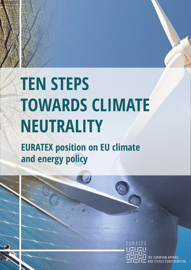# **TEN STEPS TOWARDS CLIMATE NEUTRALITY**

**EURATEX position on EU climate and energy policy**



THE EUROPEAN APPAREL AND TEXTILE CONFEDERATION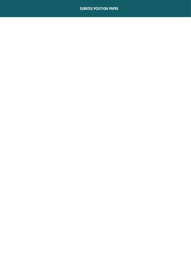#### **EURATEX POSITION PAPER**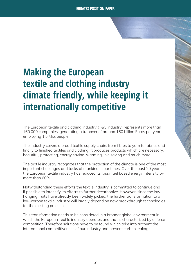# **Making the European textile and clothing industry climate friendly, while keeping it internationally competitive**

The European textile and clothing industry (T&C industry) represents more than 160.000 companies, generating a turnover of around 160 billion Euros per year, employing 1.5 Mio. people.

The industry covers a broad textile supply chain, from fibres to yarn to fabrics and finally to finished textiles and clothing. It produces products which are necessary, beautiful, protecting, energy saving, warming, live saving and much more.

The textile industry recognizes that the protection of the climate is one of the most important challenges and tasks of mankind in our times. Over the past 20 years the European textile industry has reduced its fossil fuel based energy intensity by more than 60%.

Notwithstanding these efforts the textile industry is committed to continue and if possible to intensify its efforts to further decarbonize. However, since the lowhanging fruits have already been widely picked, the further transformation to a low-carbon textile industry will largely depend on new breakthrough technologies for the existing processes.

This transformation needs to be considered in a broader global environment in which the European Textile industry operates and that is characterized by a fierce competition. Therefore solutions have to be found which take into account the international competitiveness of our industry and prevent carbon leakage.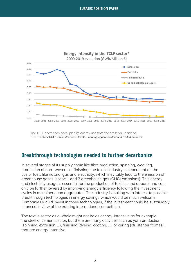

The TCLF sector has decoupled its energy use from the gross value added. *\* TCLF Sectors: C13-15: Manufacture of textiles, wearing apparel, leather and related products.*

### **Breakthrough technologies needed to further decarbonize**

In several stages of its supply chain like fibre production, spinning, weaving, production of non- wovens or finishing, the textile industry is dependent on the use of fuels like natural gas and electricity, which inevitably lead to the emission of greenhouse gases (scope 1 and 2 greenhouse gas (GHG) emissions). This energy and electricity usage is essential for the production of textiles and apparel and can only be further lowered by improving energy efficiency following the investment cycles in machinery and aggregates. The industry is looking with interest to possible breakthrough technologies in energy savings which would be much welcome. Companies would invest in those technologies, if the investment could be sustainably financed in view of the existing international competition.

The textile sector as a whole might not be as energy-intensive as for example the steel or cement sector, but there are many activities such as yarn production (spinning, extrusion, …), finishing (dyeing, coating, …), or curing (cfr. stenter frames), that are energy-intensive.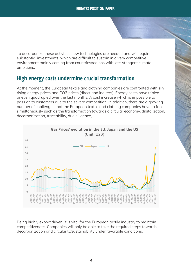To decarbonize these activities new technologies are needed and will require substantial investments, which are difficult to sustain in a very competitive environment mainly coming from countries/regions with less stringent climate ambitions.

## **High energy costs undermine crucial transformation**

At the moment, the European textile and clothing companies are confronted with sky rising energy prices and CO2 prices (direct and indirect). Energy costs have tripled or even quadrupled over the last months. A cost increase which is impossible to pass on to customers due to the severe competition. In addition, there are a growing number of challenges that the European textile and clothing companies have to face simultaneously such as the transformation towards a circular economy, digitalization, decarbonization, traceability, due diligence, …



Being highly export driven, it is vital for the European textile industry to maintain competitiveness. Companies will only be able to take the required steps towards decarbonization and circularity/sustainability under favorable conditions.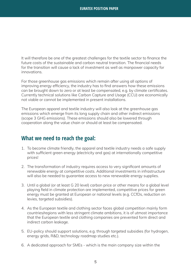It will therefore be one of the greatest challenges for the textile sector to finance the future costs of the sustainable and carbon neutral transition. The financial needs for the transition will cause a lack of investment as well as manpower capacity for innovations.

For those greenhouse gas emissions which remain after using all options of improving energy efficiency, the industry has to find answers how these emissions can be brought down to zero or at least be compensated, e.g. by climate certificates. Currently technical solutions like Carbon Capture and Usage (CCU) are economically not viable or cannot be implemented in present installations.

The European apparel and textile industry will also look at the greenhouse gas emissions which emerge from its long supply chain and other indirect emissions (scope 3 GHG emissions). These emissions should also be lowered through cooperation along the value chain or should at least be compensated.

#### **What we need to reach the goal:**

- 1. To become climate friendly, the apparel and textile industry needs a safe supply with sufficient green energy (electricity and gas) at internationally competitive prices!
- 2. The transformation of industry requires access to very significant amounts of renewable energy at competitive costs. Additional investments in infrastructure will also be needed to guarantee access to new renewable energy supplies.
- 3. Until a global (or at least G 20 level) carbon price or other means for a global level playing field in climate protection are implemented, competitive prices for green energy must be granted at European or national levels (e.g. CCfDs, reduction on levies, targeted subsidies).
- 4. As the European textile and clothing sector faces global competition mainly form countries/regions with less stringent climate ambitions, it is of utmost importance that the European textile and clothing companies are prevented form direct and indirect carbon leakage.
- 5. EU-policy should support solutions, e.g. through targeted subsidies (for hydrogen, energy grids, R&D, technology roadmap studies etc.).
- 6. A dedicated approach for SMEs which is the main company size within the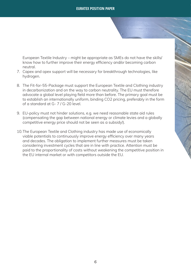European Textile Industry – might be appropriate as SMEs do not have the skills/ know how to further improve their energy efficiency and/or becoming carbon neutral.

- 7. Capex and opex support will be necessary for breakthrough technologies, like hydrogen.
- 8. The Fit-for-55-Package must support the European Textile and Clothing industry in decarbonization and on the way to carbon neutrality. The EU must therefore advocate a global level playing field more than before. The primary goal must be to establish an internationally uniform, binding CO2 pricing, preferably in the form of a standard at G- 7 / G-20 level.
- 9. EU-policy must not hinder solutions, e.g. we need reasonable state aid rules (compensating the gap between national energy or climate levies and a globally competitive energy price should not be seen as a subsidy!).
- 10.The European Textile and Clothing industry has made use of economically viable potentials to continuously improve energy efficiency over many years and decades. The obligation to implement further measures must be taken considering investment cycles that are in line with practice. Attention must be paid to the proportionality of costs without weakening the competitive position in the EU internal market or with competitors outside the EU.